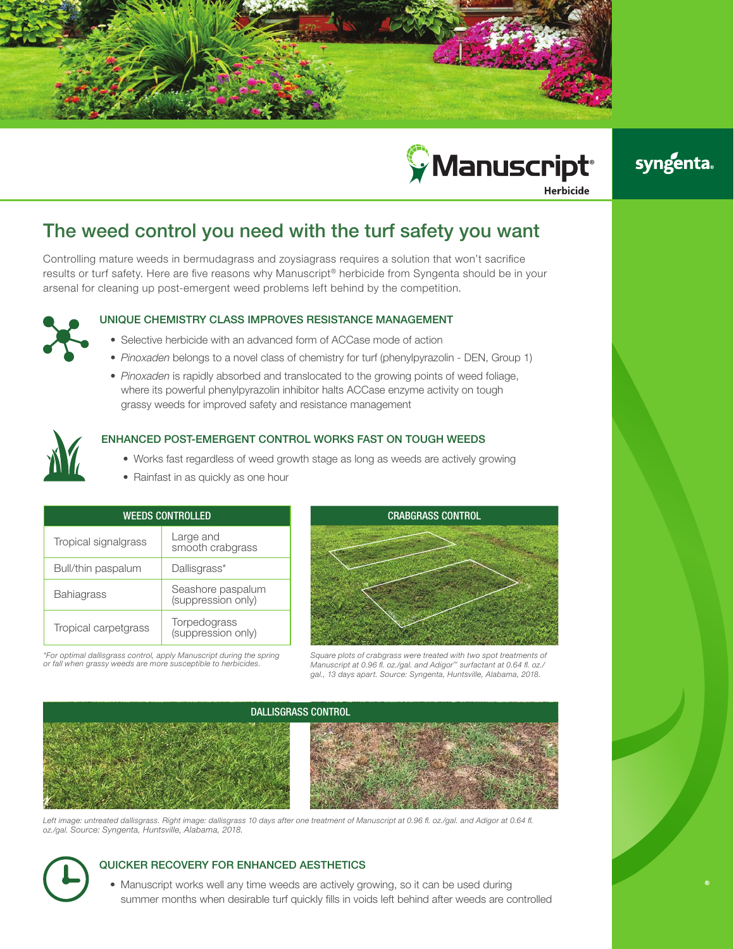



# syngenta.

## The weed control you need with the turf safety you want

Controlling mature weeds in bermudagrass and zoysiagrass requires a solution that won't sacrifice results or turf safety. Here are five reasons why [Manuscript® herbicide](http://www.greencastonline.com/product/manuscript-herbicide/overview/turf) from Syngenta should be in your arsenal for cleaning up post-emergent weed problems left behind by the competition.



## UNIQUE CHEMISTRY CLASS IMPROVES RESISTANCE MANAGEMENT

- Selective herbicide with an advanced form of ACCase mode of action
- *• Pinoxaden* belongs to a novel class of chemistry for turf (phenylpyrazolin DEN, Group 1)
- *• Pinoxaden* is rapidly absorbed and translocated to the growing points of weed foliage, where its powerful phenylpyrazolin inhibitor halts ACCase enzyme activity on tough grassy weeds for improved safety and resistance management



### ENHANCED POST-EMERGENT CONTROL WORKS FAST ON TOUGH WEEDS

- Works fast regardless of weed growth stage as long as weeds are actively growing
- Rainfast in as quickly as one hour

| <b>WEEDS CONTROLLED</b> |                                         |
|-------------------------|-----------------------------------------|
| Tropical signalgrass    | Large and<br>smooth crabgrass           |
| Bull/thin paspalum      | Dallisgrass*                            |
| <b>Bahiagrass</b>       | Seashore paspalum<br>(suppression only) |
| Tropical carpetgrass    | Torpedograss<br>(suppression only)      |





*Square plots of crabgrass were treated with two spot treatments of Manuscript at 0.96 fl. oz./gal. and Adigor™ surfactant at 0.64 fl. oz./ gal., 13 days apart. Source: Syngenta, Huntsville, Alabama, 2018.* 



Left image: untreated dallisgrass. Right image: dallisgrass 10 days after one treatment of Manuscript at 0.96 fl. oz./gal. and Adigor at 0.64 fl. *oz./gal. Source: Syngenta, Huntsville, Alabama, 2018.* 

## QUICKER RECOVERY FOR ENHANCED AESTHETICS

• Manuscript works well any time weeds are actively growing, so it can be used during summer months when desirable turf quickly fills in voids left behind after weeds are controlled